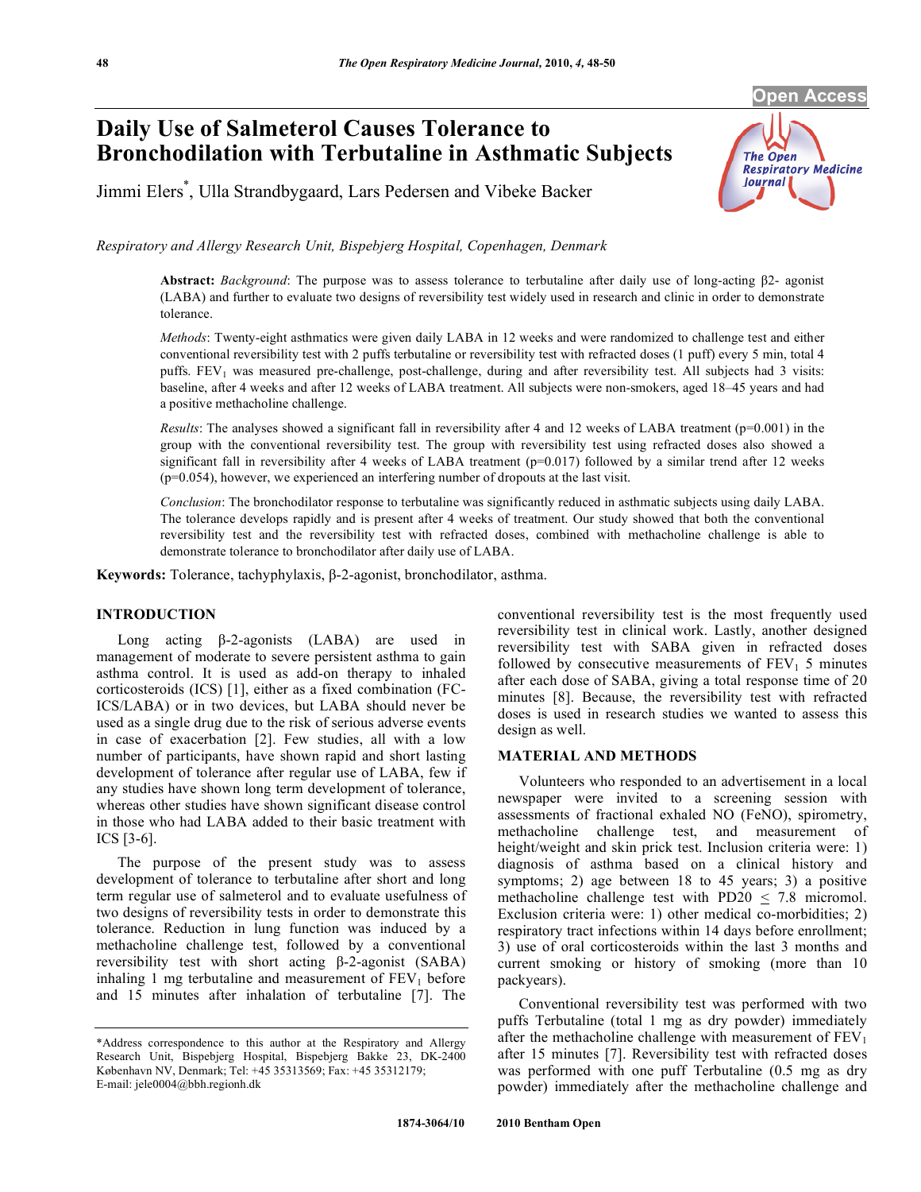#### **Open Access**

# **Daily Use of Salmeterol Causes Tolerance to Bronchodilation with Terbutaline in Asthmatic Subjects**

Jimmi Elers\* , Ulla Strandbygaard, Lars Pedersen and Vibeke Backer



*Respiratory and Allergy Research Unit, Bispebjerg Hospital, Copenhagen, Denmark* 

Abstract: *Background*: The purpose was to assess tolerance to terbutaline after daily use of long-acting  $\beta$ 2- agonist (LABA) and further to evaluate two designs of reversibility test widely used in research and clinic in order to demonstrate tolerance.

*Methods*: Twenty-eight asthmatics were given daily LABA in 12 weeks and were randomized to challenge test and either conventional reversibility test with 2 puffs terbutaline or reversibility test with refracted doses (1 puff) every 5 min, total 4 puffs. FEV<sub>1</sub> was measured pre-challenge, post-challenge, during and after reversibility test. All subjects had 3 visits: baseline, after 4 weeks and after 12 weeks of LABA treatment. All subjects were non-smokers, aged 18–45 years and had a positive methacholine challenge.

*Results*: The analyses showed a significant fall in reversibility after 4 and 12 weeks of LABA treatment ( $p=0.001$ ) in the group with the conventional reversibility test. The group with reversibility test using refracted doses also showed a significant fall in reversibility after 4 weeks of LABA treatment  $(p=0.017)$  followed by a similar trend after 12 weeks (p=0.054), however, we experienced an interfering number of dropouts at the last visit.

*Conclusion*: The bronchodilator response to terbutaline was significantly reduced in asthmatic subjects using daily LABA. The tolerance develops rapidly and is present after 4 weeks of treatment. Our study showed that both the conventional reversibility test and the reversibility test with refracted doses, combined with methacholine challenge is able to demonstrate tolerance to bronchodilator after daily use of LABA.

**Keywords:** Tolerance, tachyphylaxis,  $\beta$ -2-agonist, bronchodilator, asthma.

## **INTRODUCTION**

Long acting  $\beta$ -2-agonists (LABA) are used in management of moderate to severe persistent asthma to gain asthma control. It is used as add-on therapy to inhaled corticosteroids (ICS) [1], either as a fixed combination (FC-ICS/LABA) or in two devices, but LABA should never be used as a single drug due to the risk of serious adverse events in case of exacerbation [2]. Few studies, all with a low number of participants, have shown rapid and short lasting development of tolerance after regular use of LABA, few if any studies have shown long term development of tolerance, whereas other studies have shown significant disease control in those who had LABA added to their basic treatment with ICS [3-6].

 The purpose of the present study was to assess development of tolerance to terbutaline after short and long term regular use of salmeterol and to evaluate usefulness of two designs of reversibility tests in order to demonstrate this tolerance. Reduction in lung function was induced by a methacholine challenge test, followed by a conventional reversibility test with short acting  $\beta$ -2-agonist (SABA) inhaling 1 mg terbutaline and measurement of  $FEV<sub>1</sub>$  before and 15 minutes after inhalation of terbutaline [7]. The conventional reversibility test is the most frequently used reversibility test in clinical work. Lastly, another designed reversibility test with SABA given in refracted doses followed by consecutive measurements of  $FEV<sub>1</sub>$  5 minutes after each dose of SABA, giving a total response time of 20 minutes [8]. Because, the reversibility test with refracted doses is used in research studies we wanted to assess this design as well.

# **MATERIAL AND METHODS**

 Volunteers who responded to an advertisement in a local newspaper were invited to a screening session with assessments of fractional exhaled NO (FeNO), spirometry, methacholine challenge test, and measurement of height/weight and skin prick test. Inclusion criteria were: 1) diagnosis of asthma based on a clinical history and symptoms; 2) age between 18 to 45 years; 3) a positive methacholine challenge test with PD20  $\leq$  7.8 micromol. Exclusion criteria were: 1) other medical co-morbidities; 2) respiratory tract infections within 14 days before enrollment; 3) use of oral corticosteroids within the last 3 months and current smoking or history of smoking (more than 10 packyears).

 Conventional reversibility test was performed with two puffs Terbutaline (total 1 mg as dry powder) immediately after the methacholine challenge with measurement of  $FEV<sub>1</sub>$ after 15 minutes [7]. Reversibility test with refracted doses was performed with one puff Terbutaline (0.5 mg as dry powder) immediately after the methacholine challenge and

<sup>\*</sup>Address correspondence to this author at the Respiratory and Allergy Research Unit, Bispebjerg Hospital, Bispebjerg Bakke 23, DK-2400 København NV, Denmark; Tel: +45 35313569; Fax: +45 35312179; E-mail: jele0004@bbh.regionh.dk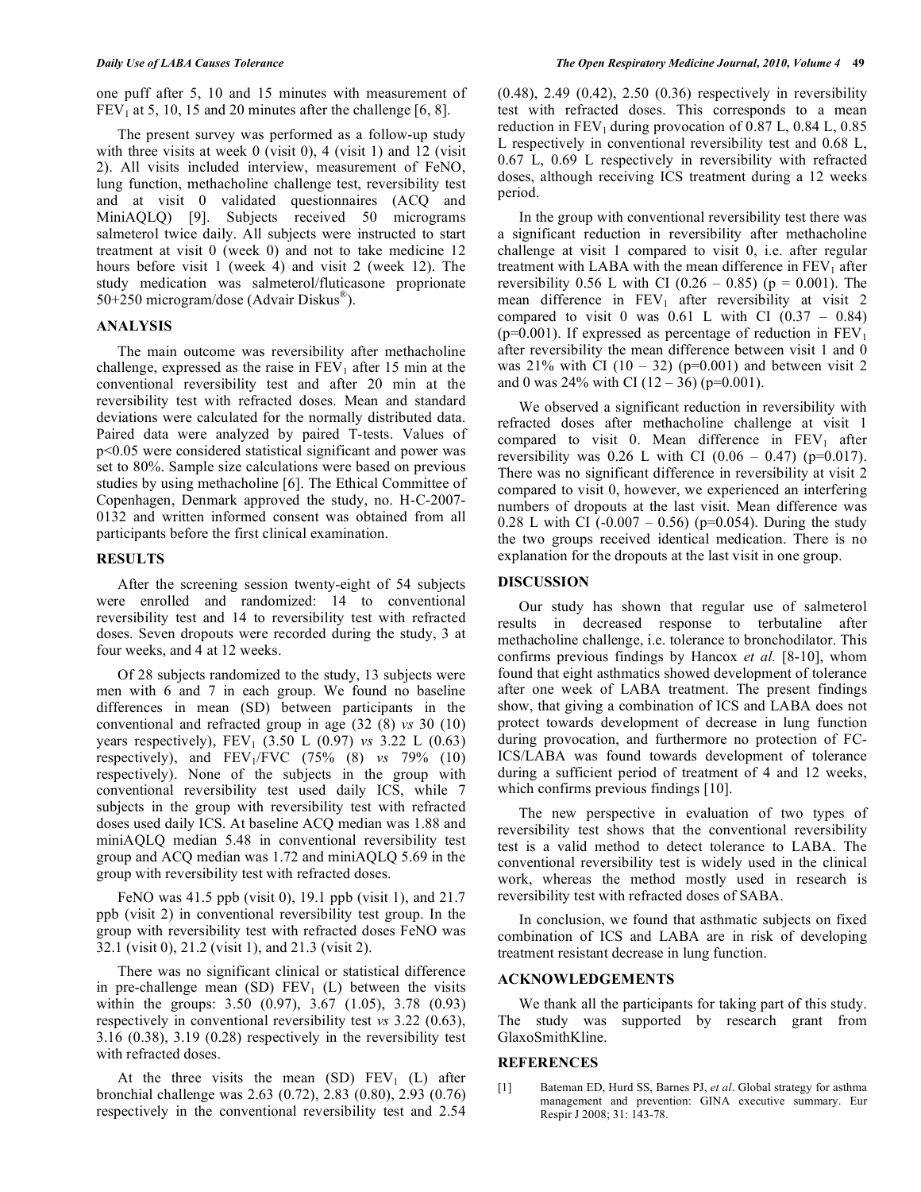one puff after 5, 10 and 15 minutes with measurement of  $FEV<sub>1</sub>$  at 5, 10, 15 and 20 minutes after the challenge [6, 8].

 The present survey was performed as a follow-up study with three visits at week  $0$  (visit 0), 4 (visit 1) and 12 (visit 2). All visits included interview, measurement of FeNO, lung function, methacholine challenge test, reversibility test and at visit 0 validated questionnaires (ACQ and MiniAQLQ) [9]. Subjects received 50 micrograms salmeterol twice daily. All subjects were instructed to start treatment at visit 0 (week 0) and not to take medicine 12 hours before visit 1 (week 4) and visit 2 (week 12). The study medication was salmeterol/fluticasone proprionate 50+250 microgram/dose (Advair Diskus®).

## **ANALYSIS**

 The main outcome was reversibility after methacholine challenge, expressed as the raise in  $FEV<sub>1</sub>$  after 15 min at the conventional reversibility test and after 20 min at the reversibility test with refracted doses. Mean and standard deviations were calculated for the normally distributed data. Paired data were analyzed by paired T-tests. Values of p<0.05 were considered statistical significant and power was set to 80%. Sample size calculations were based on previous studies by using methacholine [6]. The Ethical Committee of Copenhagen, Denmark approved the study, no. H-C-2007- 0132 and written informed consent was obtained from all participants before the first clinical examination.

#### **RESULTS**

 After the screening session twenty-eight of 54 subjects were enrolled and randomized: 14 to conventional reversibility test and 14 to reversibility test with refracted doses. Seven dropouts were recorded during the study, 3 at four weeks, and 4 at 12 weeks.

 Of 28 subjects randomized to the study, 13 subjects were men with 6 and 7 in each group. We found no baseline differences in mean (SD) between participants in the conventional and refracted group in age (32 (8) *vs* 30 (10) years respectively), FEV<sub>1</sub> (3.50 L (0.97) *vs* 3.22 L (0.63) respectively), and FEV1/FVC (75% (8) *vs* 79% (10) respectively). None of the subjects in the group with conventional reversibility test used daily ICS, while 7 subjects in the group with reversibility test with refracted doses used daily ICS. At baseline ACQ median was 1.88 and miniAQLQ median 5.48 in conventional reversibility test group and ACQ median was 1.72 and miniAQLQ 5.69 in the group with reversibility test with refracted doses.

 FeNO was 41.5 ppb (visit 0), 19.1 ppb (visit 1), and 21.7 ppb (visit 2) in conventional reversibility test group. In the group with reversibility test with refracted doses FeNO was 32.1 (visit 0), 21.2 (visit 1), and 21.3 (visit 2).

 There was no significant clinical or statistical difference in pre-challenge mean (SD)  $FEV_1$  (L) between the visits within the groups: 3.50 (0.97), 3.67 (1.05), 3.78 (0.93) respectively in conventional reversibility test *vs* 3.22 (0.63), 3.16 (0.38), 3.19 (0.28) respectively in the reversibility test with refracted doses.

At the three visits the mean  $(SD)$  FEV<sub>1</sub> (L) after bronchial challenge was 2.63 (0.72), 2.83 (0.80), 2.93 (0.76) respectively in the conventional reversibility test and 2.54

(0.48), 2.49 (0.42), 2.50 (0.36) respectively in reversibility test with refracted doses. This corresponds to a mean reduction in  $FEV_1$  during provocation of 0.87 L, 0.84 L, 0.85 L respectively in conventional reversibility test and 0.68 L, 0.67 L, 0.69 L respectively in reversibility with refracted doses, although receiving ICS treatment during a 12 weeks period.

 In the group with conventional reversibility test there was a significant reduction in reversibility after methacholine challenge at visit 1 compared to visit 0, i.e. after regular treatment with LABA with the mean difference in  $FEV<sub>1</sub>$  after reversibility 0.56 L with CI (0.26 – 0.85) ( $p = 0.001$ ). The mean difference in  $FEV_1$  after reversibility at visit 2 compared to visit 0 was  $0.61$  L with CI  $(0.37 - 0.84)$ ( $p=0.001$ ). If expressed as percentage of reduction in  $FEV<sub>1</sub>$ after reversibility the mean difference between visit 1 and 0 was 21% with CI  $(10 - 32)$  (p=0.001) and between visit 2 and 0 was  $24\%$  with CI (12 – 36) (p=0.001).

 We observed a significant reduction in reversibility with refracted doses after methacholine challenge at visit 1 compared to visit 0. Mean difference in  $FEV<sub>1</sub>$  after reversibility was 0.26 L with CI  $(0.06 - 0.47)$  (p=0.017). There was no significant difference in reversibility at visit 2 compared to visit 0, however, we experienced an interfering numbers of dropouts at the last visit. Mean difference was 0.28 L with CI ( $-0.007 - 0.56$ ) ( $p=0.054$ ). During the study the two groups received identical medication. There is no explanation for the dropouts at the last visit in one group.

#### **DISCUSSION**

 Our study has shown that regular use of salmeterol results in decreased response to terbutaline after methacholine challenge, i.e. tolerance to bronchodilator. This confirms previous findings by Hancox *et al.* [8-10], whom found that eight asthmatics showed development of tolerance after one week of LABA treatment. The present findings show, that giving a combination of ICS and LABA does not protect towards development of decrease in lung function during provocation, and furthermore no protection of FC-ICS/LABA was found towards development of tolerance during a sufficient period of treatment of 4 and 12 weeks, which confirms previous findings [10].

 The new perspective in evaluation of two types of reversibility test shows that the conventional reversibility test is a valid method to detect tolerance to LABA. The conventional reversibility test is widely used in the clinical work, whereas the method mostly used in research is reversibility test with refracted doses of SABA.

 In conclusion, we found that asthmatic subjects on fixed combination of ICS and LABA are in risk of developing treatment resistant decrease in lung function.

## **ACKNOWLEDGEMENTS**

 We thank all the participants for taking part of this study. The study was supported by research grant from GlaxoSmithKline.

#### **REFERENCES**

[1] Bateman ED, Hurd SS, Barnes PJ, *et al*. Global strategy for asthma management and prevention: GINA executive summary. Eur Respir J 2008; 31: 143-78.